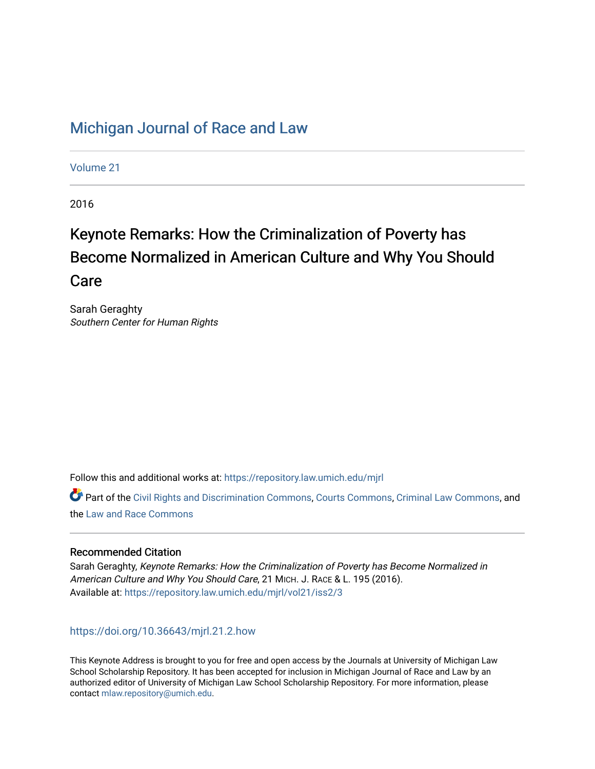# [Michigan Journal of Race and Law](https://repository.law.umich.edu/mjrl)

[Volume 21](https://repository.law.umich.edu/mjrl/vol21)

2016

# Keynote Remarks: How the Criminalization of Poverty has Become Normalized in American Culture and Why You Should Care

Sarah Geraghty Southern Center for Human Rights

Follow this and additional works at: [https://repository.law.umich.edu/mjrl](https://repository.law.umich.edu/mjrl?utm_source=repository.law.umich.edu%2Fmjrl%2Fvol21%2Fiss2%2F3&utm_medium=PDF&utm_campaign=PDFCoverPages) 

**C** Part of the [Civil Rights and Discrimination Commons,](http://network.bepress.com/hgg/discipline/585?utm_source=repository.law.umich.edu%2Fmjrl%2Fvol21%2Fiss2%2F3&utm_medium=PDF&utm_campaign=PDFCoverPages) [Courts Commons,](http://network.bepress.com/hgg/discipline/839?utm_source=repository.law.umich.edu%2Fmjrl%2Fvol21%2Fiss2%2F3&utm_medium=PDF&utm_campaign=PDFCoverPages) [Criminal Law Commons](http://network.bepress.com/hgg/discipline/912?utm_source=repository.law.umich.edu%2Fmjrl%2Fvol21%2Fiss2%2F3&utm_medium=PDF&utm_campaign=PDFCoverPages), and the [Law and Race Commons](http://network.bepress.com/hgg/discipline/1300?utm_source=repository.law.umich.edu%2Fmjrl%2Fvol21%2Fiss2%2F3&utm_medium=PDF&utm_campaign=PDFCoverPages)

# Recommended Citation

Sarah Geraghty, Keynote Remarks: How the Criminalization of Poverty has Become Normalized in American Culture and Why You Should Care, 21 MICH. J. RACE & L. 195 (2016). Available at: [https://repository.law.umich.edu/mjrl/vol21/iss2/3](https://repository.law.umich.edu/mjrl/vol21/iss2/3?utm_source=repository.law.umich.edu%2Fmjrl%2Fvol21%2Fiss2%2F3&utm_medium=PDF&utm_campaign=PDFCoverPages) 

## <https://doi.org/10.36643/mjrl.21.2.how>

This Keynote Address is brought to you for free and open access by the Journals at University of Michigan Law School Scholarship Repository. It has been accepted for inclusion in Michigan Journal of Race and Law by an authorized editor of University of Michigan Law School Scholarship Repository. For more information, please contact [mlaw.repository@umich.edu](mailto:mlaw.repository@umich.edu).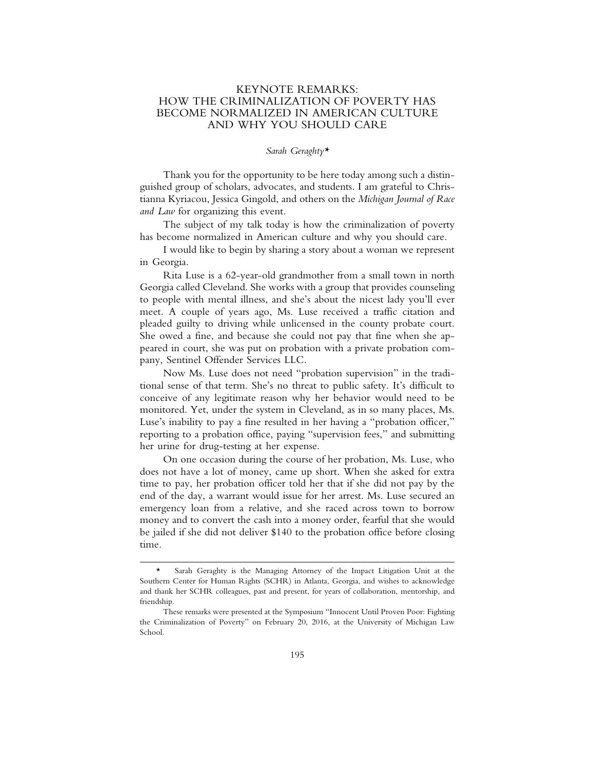### KEYNOTE REMARKS: HOW THE CRIMINALIZATION OF POVERTY HAS BECOME NORMALIZED IN AMERICAN CULTURE AND WHY YOU SHOULD CARE

#### *Sarah Geraghty\**

Thank you for the opportunity to be here today among such a distinguished group of scholars, advocates, and students. I am grateful to Christianna Kyriacou, Jessica Gingold, and others on the *Michigan Journal of Race and Law* for organizing this event.

The subject of my talk today is how the criminalization of poverty has become normalized in American culture and why you should care.

I would like to begin by sharing a story about a woman we represent in Georgia.

Rita Luse is a 62-year-old grandmother from a small town in north Georgia called Cleveland. She works with a group that provides counseling to people with mental illness, and she's about the nicest lady you'll ever meet. A couple of years ago, Ms. Luse received a traffic citation and pleaded guilty to driving while unlicensed in the county probate court. She owed a fine, and because she could not pay that fine when she appeared in court, she was put on probation with a private probation company, Sentinel Offender Services LLC.

Now Ms. Luse does not need "probation supervision" in the traditional sense of that term. She's no threat to public safety. It's difficult to conceive of any legitimate reason why her behavior would need to be monitored. Yet, under the system in Cleveland, as in so many places, Ms. Luse's inability to pay a fine resulted in her having a "probation officer," reporting to a probation office, paying "supervision fees," and submitting her urine for drug-testing at her expense.

On one occasion during the course of her probation, Ms. Luse, who does not have a lot of money, came up short. When she asked for extra time to pay, her probation officer told her that if she did not pay by the end of the day, a warrant would issue for her arrest. Ms. Luse secured an emergency loan from a relative, and she raced across town to borrow money and to convert the cash into a money order, fearful that she would be jailed if she did not deliver \$140 to the probation office before closing time.

Sarah Geraghty is the Managing Attorney of the Impact Litigation Unit at the Southern Center for Human Rights (SCHR) in Atlanta, Georgia, and wishes to acknowledge and thank her SCHR colleagues, past and present, for years of collaboration, mentorship, and friendship.

These remarks were presented at the Symposium "Innocent Until Proven Poor: Fighting the Criminalization of Poverty" on February 20, 2016, at the University of Michigan Law School.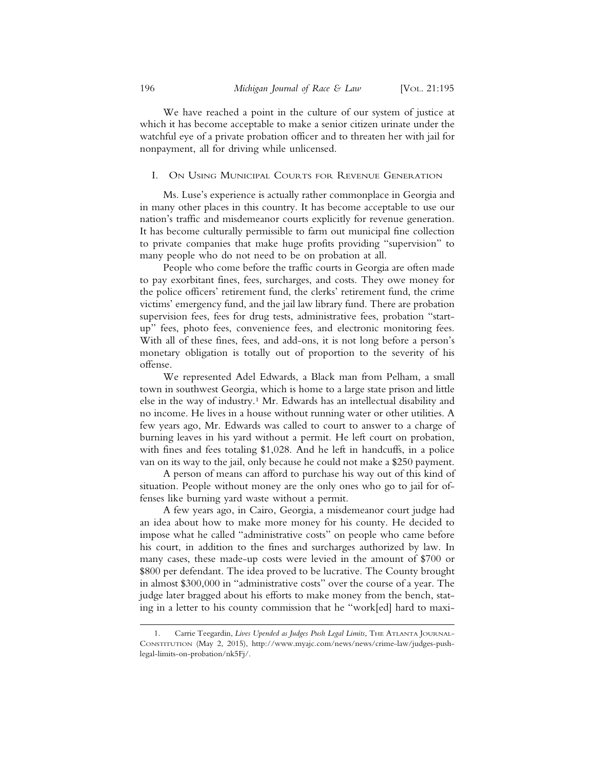We have reached a point in the culture of our system of justice at which it has become acceptable to make a senior citizen urinate under the watchful eye of a private probation officer and to threaten her with jail for nonpayment, all for driving while unlicensed.

#### I. ON USING MUNICIPAL COURTS FOR REVENUE GENERATION

Ms. Luse's experience is actually rather commonplace in Georgia and in many other places in this country. It has become acceptable to use our nation's traffic and misdemeanor courts explicitly for revenue generation. It has become culturally permissible to farm out municipal fine collection to private companies that make huge profits providing "supervision" to many people who do not need to be on probation at all.

People who come before the traffic courts in Georgia are often made to pay exorbitant fines, fees, surcharges, and costs. They owe money for the police officers' retirement fund, the clerks' retirement fund, the crime victims' emergency fund, and the jail law library fund. There are probation supervision fees, fees for drug tests, administrative fees, probation "startup" fees, photo fees, convenience fees, and electronic monitoring fees. With all of these fines, fees, and add-ons, it is not long before a person's monetary obligation is totally out of proportion to the severity of his offense.

We represented Adel Edwards, a Black man from Pelham, a small town in southwest Georgia, which is home to a large state prison and little else in the way of industry.1 Mr. Edwards has an intellectual disability and no income. He lives in a house without running water or other utilities. A few years ago, Mr. Edwards was called to court to answer to a charge of burning leaves in his yard without a permit. He left court on probation, with fines and fees totaling \$1,028. And he left in handcuffs, in a police van on its way to the jail, only because he could not make a \$250 payment.

A person of means can afford to purchase his way out of this kind of situation. People without money are the only ones who go to jail for offenses like burning yard waste without a permit.

A few years ago, in Cairo, Georgia, a misdemeanor court judge had an idea about how to make more money for his county. He decided to impose what he called "administrative costs" on people who came before his court, in addition to the fines and surcharges authorized by law. In many cases, these made-up costs were levied in the amount of \$700 or \$800 per defendant. The idea proved to be lucrative. The County brought in almost \$300,000 in "administrative costs" over the course of a year. The judge later bragged about his efforts to make money from the bench, stating in a letter to his county commission that he "work[ed] hard to maxi-

<sup>1.</sup> Carrie Teegardin, *Lives Upended as Judges Push Legal Limits*, THE ATLANTA JOURNAL-CONSTITUTION (May 2, 2015), http://www.myajc.com/news/news/crime-law/judges-pushlegal-limits-on-probation/nk5Fj/.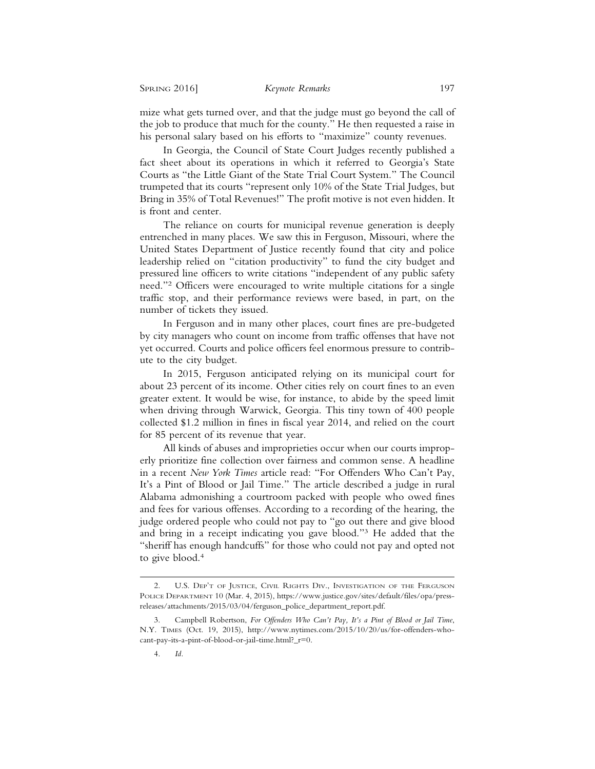mize what gets turned over, and that the judge must go beyond the call of the job to produce that much for the county." He then requested a raise in his personal salary based on his efforts to "maximize" county revenues.

In Georgia, the Council of State Court Judges recently published a fact sheet about its operations in which it referred to Georgia's State Courts as "the Little Giant of the State Trial Court System." The Council trumpeted that its courts "represent only 10% of the State Trial Judges, but Bring in 35% of Total Revenues!" The profit motive is not even hidden. It is front and center.

The reliance on courts for municipal revenue generation is deeply entrenched in many places. We saw this in Ferguson, Missouri, where the United States Department of Justice recently found that city and police leadership relied on "citation productivity" to fund the city budget and pressured line officers to write citations "independent of any public safety need."2 Officers were encouraged to write multiple citations for a single traffic stop, and their performance reviews were based, in part, on the number of tickets they issued.

In Ferguson and in many other places, court fines are pre-budgeted by city managers who count on income from traffic offenses that have not yet occurred. Courts and police officers feel enormous pressure to contribute to the city budget.

In 2015, Ferguson anticipated relying on its municipal court for about 23 percent of its income. Other cities rely on court fines to an even greater extent. It would be wise, for instance, to abide by the speed limit when driving through Warwick, Georgia. This tiny town of 400 people collected \$1.2 million in fines in fiscal year 2014, and relied on the court for 85 percent of its revenue that year.

All kinds of abuses and improprieties occur when our courts improperly prioritize fine collection over fairness and common sense. A headline in a recent *New York Times* article read: "For Offenders Who Can't Pay, It's a Pint of Blood or Jail Time." The article described a judge in rural Alabama admonishing a courtroom packed with people who owed fines and fees for various offenses. According to a recording of the hearing, the judge ordered people who could not pay to "go out there and give blood and bring in a receipt indicating you gave blood."3 He added that the "sheriff has enough handcuffs" for those who could not pay and opted not to give blood.4

<sup>2.</sup> U.S. DEP'T OF JUSTICE, CIVIL RIGHTS DIV., INVESTIGATION OF THE FERGUSON POLICE DEPARTMENT 10 (Mar. 4, 2015), https://www.justice.gov/sites/default/files/opa/pressreleases/attachments/2015/03/04/ferguson\_police\_department\_report.pdf.

<sup>3.</sup> Campbell Robertson, *For Offenders Who Can't Pay, It's a Pint of Blood or Jail Time*, N.Y. TIMES (Oct. 19, 2015), http://www.nytimes.com/2015/10/20/us/for-offenders-whocant-pay-its-a-pint-of-blood-or-jail-time.html?\_r=0.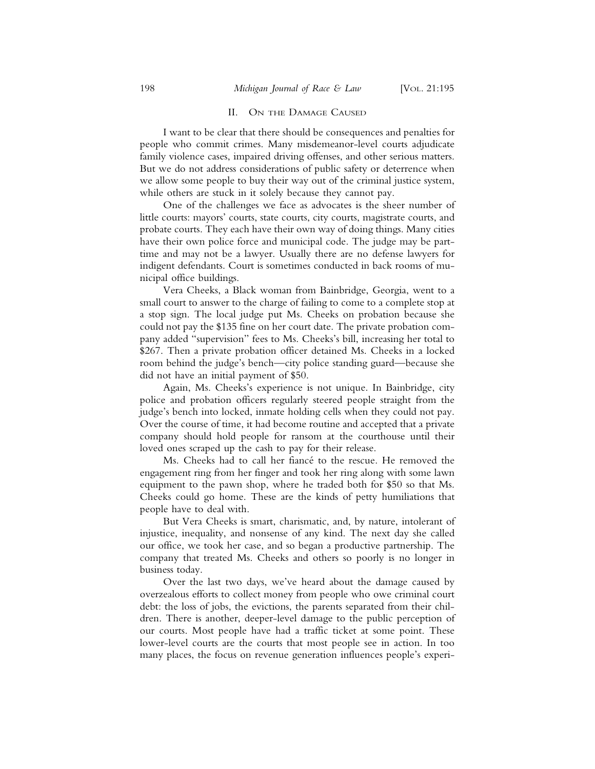#### II. ON THE DAMAGE CAUSED

I want to be clear that there should be consequences and penalties for people who commit crimes. Many misdemeanor-level courts adjudicate family violence cases, impaired driving offenses, and other serious matters. But we do not address considerations of public safety or deterrence when we allow some people to buy their way out of the criminal justice system, while others are stuck in it solely because they cannot pay.

One of the challenges we face as advocates is the sheer number of little courts: mayors' courts, state courts, city courts, magistrate courts, and probate courts. They each have their own way of doing things. Many cities have their own police force and municipal code. The judge may be parttime and may not be a lawyer. Usually there are no defense lawyers for indigent defendants. Court is sometimes conducted in back rooms of municipal office buildings.

Vera Cheeks, a Black woman from Bainbridge, Georgia, went to a small court to answer to the charge of failing to come to a complete stop at a stop sign. The local judge put Ms. Cheeks on probation because she could not pay the \$135 fine on her court date. The private probation company added "supervision" fees to Ms. Cheeks's bill, increasing her total to \$267. Then a private probation officer detained Ms. Cheeks in a locked room behind the judge's bench—city police standing guard—because she did not have an initial payment of \$50.

Again, Ms. Cheeks's experience is not unique. In Bainbridge, city police and probation officers regularly steered people straight from the judge's bench into locked, inmate holding cells when they could not pay. Over the course of time, it had become routine and accepted that a private company should hold people for ransom at the courthouse until their loved ones scraped up the cash to pay for their release.

Ms. Cheeks had to call her fiancé to the rescue. He removed the engagement ring from her finger and took her ring along with some lawn equipment to the pawn shop, where he traded both for \$50 so that Ms. Cheeks could go home. These are the kinds of petty humiliations that people have to deal with.

But Vera Cheeks is smart, charismatic, and, by nature, intolerant of injustice, inequality, and nonsense of any kind. The next day she called our office, we took her case, and so began a productive partnership. The company that treated Ms. Cheeks and others so poorly is no longer in business today.

Over the last two days, we've heard about the damage caused by overzealous efforts to collect money from people who owe criminal court debt: the loss of jobs, the evictions, the parents separated from their children. There is another, deeper-level damage to the public perception of our courts. Most people have had a traffic ticket at some point. These lower-level courts are the courts that most people see in action. In too many places, the focus on revenue generation influences people's experi-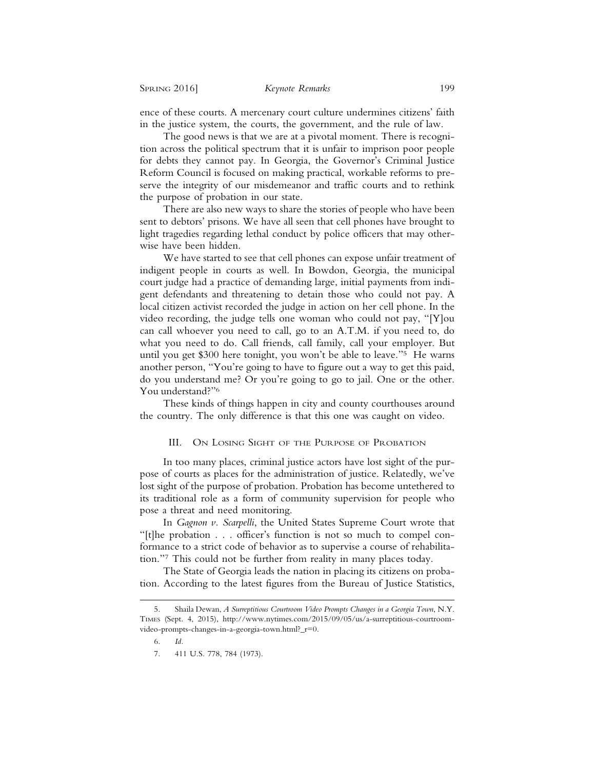ence of these courts. A mercenary court culture undermines citizens' faith in the justice system, the courts, the government, and the rule of law.

The good news is that we are at a pivotal moment. There is recognition across the political spectrum that it is unfair to imprison poor people for debts they cannot pay. In Georgia, the Governor's Criminal Justice Reform Council is focused on making practical, workable reforms to preserve the integrity of our misdemeanor and traffic courts and to rethink the purpose of probation in our state.

There are also new ways to share the stories of people who have been sent to debtors' prisons. We have all seen that cell phones have brought to light tragedies regarding lethal conduct by police officers that may otherwise have been hidden.

We have started to see that cell phones can expose unfair treatment of indigent people in courts as well. In Bowdon, Georgia, the municipal court judge had a practice of demanding large, initial payments from indigent defendants and threatening to detain those who could not pay. A local citizen activist recorded the judge in action on her cell phone. In the video recording, the judge tells one woman who could not pay, "[Y]ou can call whoever you need to call, go to an A.T.M. if you need to, do what you need to do. Call friends, call family, call your employer. But until you get \$300 here tonight, you won't be able to leave."5 He warns another person, "You're going to have to figure out a way to get this paid, do you understand me? Or you're going to go to jail. One or the other. You understand?"6

These kinds of things happen in city and county courthouses around the country. The only difference is that this one was caught on video.

#### III. ON LOSING SIGHT OF THE PURPOSE OF PROBATION

In too many places, criminal justice actors have lost sight of the purpose of courts as places for the administration of justice. Relatedly, we've lost sight of the purpose of probation. Probation has become untethered to its traditional role as a form of community supervision for people who pose a threat and need monitoring.

In *Gagnon v. Scarpelli*, the United States Supreme Court wrote that "[t]he probation . . . officer's function is not so much to compel conformance to a strict code of behavior as to supervise a course of rehabilitation."7 This could not be further from reality in many places today.

The State of Georgia leads the nation in placing its citizens on probation. According to the latest figures from the Bureau of Justice Statistics,

<sup>5.</sup> Shaila Dewan, *A Surreptitious Courtroom Video Prompts Changes in a Georgia Town*, N.Y. TIMES (Sept. 4, 2015), http://www.nytimes.com/2015/09/05/us/a-surreptitious-courtroomvideo-prompts-changes-in-a-georgia-town.html?\_r=0.

<sup>6.</sup> *Id.*

<sup>7. 411</sup> U.S. 778, 784 (1973).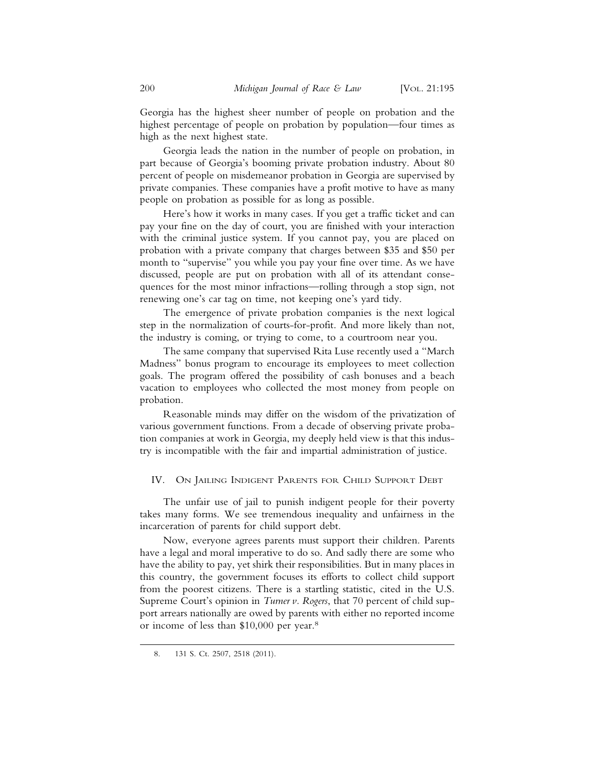Georgia has the highest sheer number of people on probation and the highest percentage of people on probation by population—four times as high as the next highest state.

Georgia leads the nation in the number of people on probation, in part because of Georgia's booming private probation industry. About 80 percent of people on misdemeanor probation in Georgia are supervised by private companies. These companies have a profit motive to have as many people on probation as possible for as long as possible.

Here's how it works in many cases. If you get a traffic ticket and can pay your fine on the day of court, you are finished with your interaction with the criminal justice system. If you cannot pay, you are placed on probation with a private company that charges between \$35 and \$50 per month to "supervise" you while you pay your fine over time. As we have discussed, people are put on probation with all of its attendant consequences for the most minor infractions—rolling through a stop sign, not renewing one's car tag on time, not keeping one's yard tidy.

The emergence of private probation companies is the next logical step in the normalization of courts-for-profit. And more likely than not, the industry is coming, or trying to come, to a courtroom near you.

The same company that supervised Rita Luse recently used a "March Madness" bonus program to encourage its employees to meet collection goals. The program offered the possibility of cash bonuses and a beach vacation to employees who collected the most money from people on probation.

Reasonable minds may differ on the wisdom of the privatization of various government functions. From a decade of observing private probation companies at work in Georgia, my deeply held view is that this industry is incompatible with the fair and impartial administration of justice.

#### IV. ON JAILING INDIGENT PARENTS FOR CHILD SUPPORT DEBT

The unfair use of jail to punish indigent people for their poverty takes many forms. We see tremendous inequality and unfairness in the incarceration of parents for child support debt.

Now, everyone agrees parents must support their children. Parents have a legal and moral imperative to do so. And sadly there are some who have the ability to pay, yet shirk their responsibilities. But in many places in this country, the government focuses its efforts to collect child support from the poorest citizens. There is a startling statistic, cited in the U.S. Supreme Court's opinion in *Turner v. Rogers*, that 70 percent of child support arrears nationally are owed by parents with either no reported income or income of less than \$10,000 per year.8

<sup>8. 131</sup> S. Ct. 2507, 2518 (2011).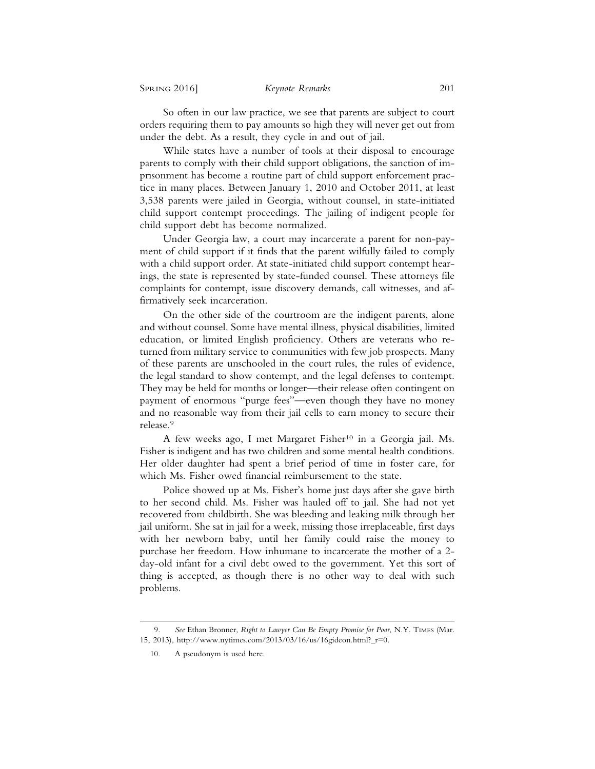So often in our law practice, we see that parents are subject to court orders requiring them to pay amounts so high they will never get out from under the debt. As a result, they cycle in and out of jail.

While states have a number of tools at their disposal to encourage parents to comply with their child support obligations, the sanction of imprisonment has become a routine part of child support enforcement practice in many places. Between January 1, 2010 and October 2011, at least 3,538 parents were jailed in Georgia, without counsel, in state-initiated child support contempt proceedings. The jailing of indigent people for child support debt has become normalized.

Under Georgia law, a court may incarcerate a parent for non-payment of child support if it finds that the parent wilfully failed to comply with a child support order. At state-initiated child support contempt hearings, the state is represented by state-funded counsel. These attorneys file complaints for contempt, issue discovery demands, call witnesses, and affirmatively seek incarceration.

On the other side of the courtroom are the indigent parents, alone and without counsel. Some have mental illness, physical disabilities, limited education, or limited English proficiency. Others are veterans who returned from military service to communities with few job prospects. Many of these parents are unschooled in the court rules, the rules of evidence, the legal standard to show contempt, and the legal defenses to contempt. They may be held for months or longer—their release often contingent on payment of enormous "purge fees"—even though they have no money and no reasonable way from their jail cells to earn money to secure their release.9

A few weeks ago, I met Margaret Fisher<sup>10</sup> in a Georgia jail. Ms. Fisher is indigent and has two children and some mental health conditions. Her older daughter had spent a brief period of time in foster care, for which Ms. Fisher owed financial reimbursement to the state.

Police showed up at Ms. Fisher's home just days after she gave birth to her second child. Ms. Fisher was hauled off to jail. She had not yet recovered from childbirth. She was bleeding and leaking milk through her jail uniform. She sat in jail for a week, missing those irreplaceable, first days with her newborn baby, until her family could raise the money to purchase her freedom. How inhumane to incarcerate the mother of a 2 day-old infant for a civil debt owed to the government. Yet this sort of thing is accepted, as though there is no other way to deal with such problems.

<sup>9.</sup> *See* Ethan Bronner, *Right to Lawyer Can Be Empty Promise for Poor*, N.Y. TIMES (Mar. 15, 2013), http://www.nytimes.com/2013/03/16/us/16gideon.html?\_r=0.

<sup>10.</sup> A pseudonym is used here.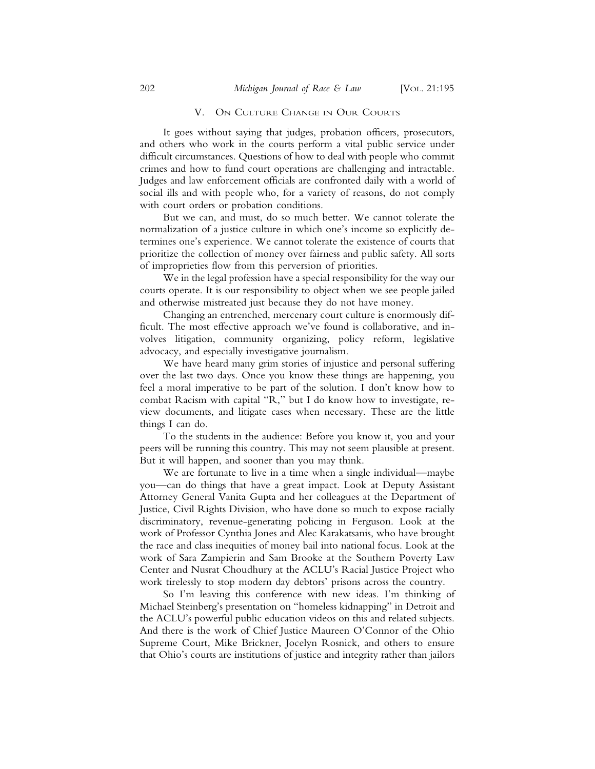#### V. ON CULTURE CHANGE IN OUR COURTS

It goes without saying that judges, probation officers, prosecutors, and others who work in the courts perform a vital public service under difficult circumstances. Questions of how to deal with people who commit crimes and how to fund court operations are challenging and intractable. Judges and law enforcement officials are confronted daily with a world of social ills and with people who, for a variety of reasons, do not comply with court orders or probation conditions.

But we can, and must, do so much better. We cannot tolerate the normalization of a justice culture in which one's income so explicitly determines one's experience. We cannot tolerate the existence of courts that prioritize the collection of money over fairness and public safety. All sorts of improprieties flow from this perversion of priorities.

We in the legal profession have a special responsibility for the way our courts operate. It is our responsibility to object when we see people jailed and otherwise mistreated just because they do not have money.

Changing an entrenched, mercenary court culture is enormously difficult. The most effective approach we've found is collaborative, and involves litigation, community organizing, policy reform, legislative advocacy, and especially investigative journalism.

We have heard many grim stories of injustice and personal suffering over the last two days. Once you know these things are happening, you feel a moral imperative to be part of the solution. I don't know how to combat Racism with capital "R," but I do know how to investigate, review documents, and litigate cases when necessary. These are the little things I can do.

To the students in the audience: Before you know it, you and your peers will be running this country. This may not seem plausible at present. But it will happen, and sooner than you may think.

We are fortunate to live in a time when a single individual—maybe you—can do things that have a great impact. Look at Deputy Assistant Attorney General Vanita Gupta and her colleagues at the Department of Justice, Civil Rights Division, who have done so much to expose racially discriminatory, revenue-generating policing in Ferguson. Look at the work of Professor Cynthia Jones and Alec Karakatsanis, who have brought the race and class inequities of money bail into national focus. Look at the work of Sara Zampierin and Sam Brooke at the Southern Poverty Law Center and Nusrat Choudhury at the ACLU's Racial Justice Project who work tirelessly to stop modern day debtors' prisons across the country.

So I'm leaving this conference with new ideas. I'm thinking of Michael Steinberg's presentation on "homeless kidnapping" in Detroit and the ACLU's powerful public education videos on this and related subjects. And there is the work of Chief Justice Maureen O'Connor of the Ohio Supreme Court, Mike Brickner, Jocelyn Rosnick, and others to ensure that Ohio's courts are institutions of justice and integrity rather than jailors